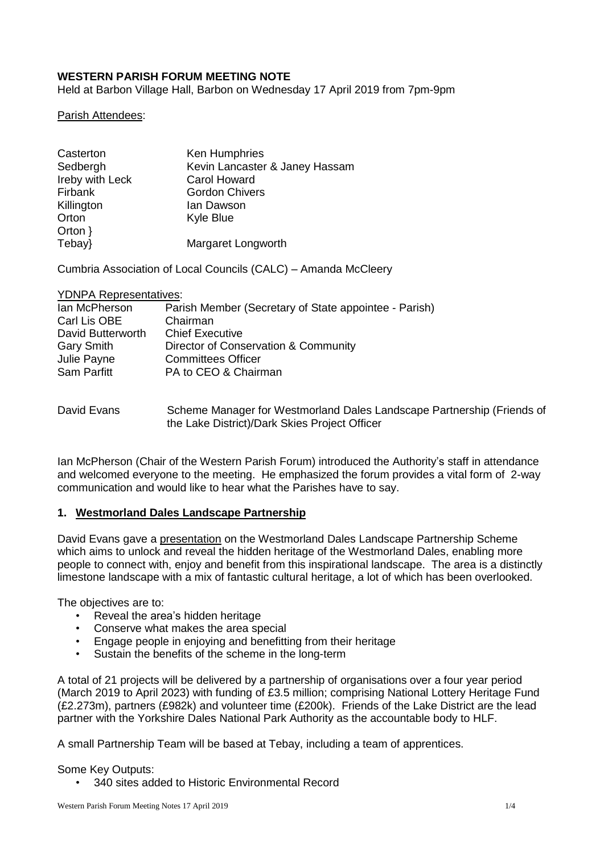# **WESTERN PARISH FORUM MEETING NOTE**

Held at Barbon Village Hall, Barbon on Wednesday 17 April 2019 from 7pm-9pm

Parish Attendees:

| Casterton       | Ken Humphries                  |
|-----------------|--------------------------------|
| Sedbergh        | Kevin Lancaster & Janey Hassam |
| Ireby with Leck | <b>Carol Howard</b>            |
| Firbank         | <b>Gordon Chivers</b>          |
| Killington      | lan Dawson                     |
| Orton           | <b>Kyle Blue</b>               |
| Orton $\}$      |                                |
| Tebay}          | Margaret Longworth             |

Cumbria Association of Local Councils (CALC) – Amanda McCleery

YDNPA Representatives:

| lan McPherson     | Parish Member (Secretary of State appointee - Parish) |
|-------------------|-------------------------------------------------------|
| Carl Lis OBE      | Chairman                                              |
| David Butterworth | <b>Chief Executive</b>                                |
| <b>Gary Smith</b> | Director of Conservation & Community                  |
| Julie Payne       | <b>Committees Officer</b>                             |
| Sam Parfitt       | PA to CEO & Chairman                                  |
|                   |                                                       |
|                   |                                                       |

David Evans Scheme Manager for Westmorland Dales Landscape Partnership (Friends of the Lake District)/Dark Skies Project Officer

Ian McPherson (Chair of the Western Parish Forum) introduced the Authority's staff in attendance and welcomed everyone to the meeting. He emphasized the forum provides a vital form of 2-way communication and would like to hear what the Parishes have to say.

# **1. Westmorland Dales Landscape Partnership**

David Evans gave a [presentation](https://www.yorkshiredales.org.uk/__data/assets/pdf_file/0007/1599262/Western-Parish-Forum-presentation.pdf) on the Westmorland Dales Landscape Partnership Scheme which aims to unlock and reveal the hidden heritage of the Westmorland Dales, enabling more people to connect with, enjoy and benefit from this inspirational landscape. The area is a distinctly limestone landscape with a mix of fantastic cultural heritage, a lot of which has been overlooked.

The objectives are to:

- Reveal the area's hidden heritage
- Conserve what makes the area special
- Engage people in enjoying and benefitting from their heritage
- Sustain the benefits of the scheme in the long-term

A total of 21 projects will be delivered by a partnership of organisations over a four year period (March 2019 to April 2023) with funding of £3.5 million; comprising National Lottery Heritage Fund (£2.273m), partners (£982k) and volunteer time (£200k). Friends of the Lake District are the lead partner with the Yorkshire Dales National Park Authority as the accountable body to HLF.

A small Partnership Team will be based at Tebay, including a team of apprentices.

#### Some Key Outputs:

• 340 sites added to Historic Environmental Record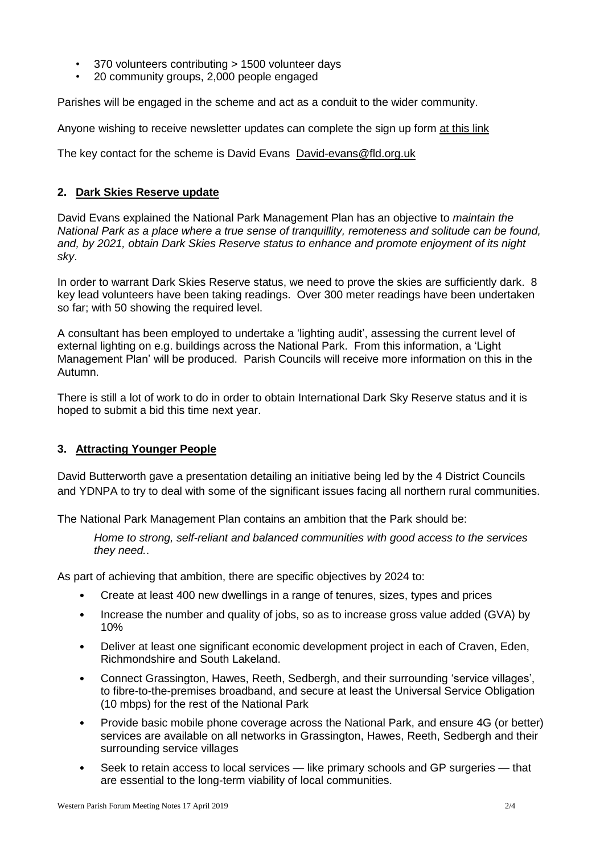- 370 volunteers contributing > 1500 volunteer days
- 20 community groups, 2,000 people engaged

Parishes will be engaged in the scheme and act as a conduit to the wider community.

Anyone wishing to receive newsletter updates can complete the sign up form at [this](http://eepurl.com/gdi_l1) link

The key contact for the scheme is David Evans [David-evans@fld.org.uk](mailto:David-evans@fld.org.uk)

# **2. Dark Skies Reserve update**

David Evans explained the National Park Management Plan has an objective to *maintain the National Park as a place where a true sense of tranquillity, remoteness and solitude can be found, and, by 2021, obtain Dark Skies Reserve status to enhance and promote enjoyment of its night sky*.

In order to warrant Dark Skies Reserve status, we need to prove the skies are sufficiently dark. 8 key lead volunteers have been taking readings. Over 300 meter readings have been undertaken so far; with 50 showing the required level.

A consultant has been employed to undertake a 'lighting audit', assessing the current level of external lighting on e.g. buildings across the National Park. From this information, a 'Light Management Plan' will be produced. Parish Councils will receive more information on this in the Autumn.

There is still a lot of work to do in order to obtain International Dark Sky Reserve status and it is hoped to submit a bid this time next year.

# **3. Attracting Younger People**

David Butterworth gave a presentation detailing an initiative being led by the 4 District Councils and YDNPA to try to deal with some of the significant issues facing all northern rural communities.

The National Park Management Plan contains an ambition that the Park should be:

*Home to strong, self-reliant and balanced communities with good access to the services they need.*.

As part of achieving that ambition, there are specific objectives by 2024 to:

- Create at least 400 new dwellings in a range of tenures, sizes, types and prices
- Increase the number and quality of jobs, so as to increase gross value added (GVA) by 10%
- Deliver at least one significant economic development project in each of Craven, Eden, Richmondshire and South Lakeland.
- Connect Grassington, Hawes, Reeth, Sedbergh, and their surrounding 'service villages', to fibre-to-the-premises broadband, and secure at least the Universal Service Obligation (10 mbps) for the rest of the National Park
- Provide basic mobile phone coverage across the National Park, and ensure 4G (or better) services are available on all networks in Grassington, Hawes, Reeth, Sedbergh and their surrounding service villages
- Seek to retain access to local services like primary schools and GP surgeries that are essential to the long-term viability of local communities.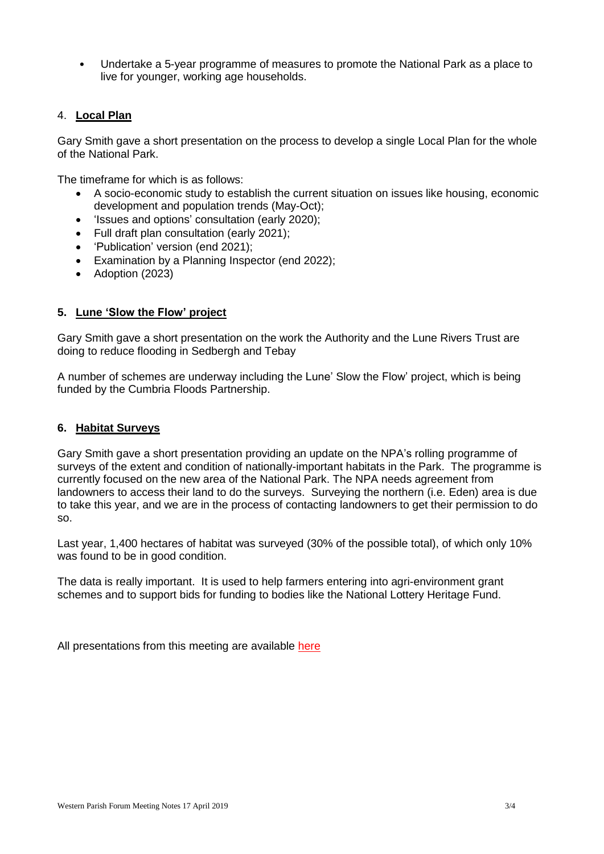• Undertake a 5-year programme of measures to promote the National Park as a place to live for younger, working age households.

## 4. **Local Plan**

Gary Smith gave a short presentation on the process to develop a single Local Plan for the whole of the National Park.

The timeframe for which is as follows:

- A socio-economic study to establish the current situation on issues like housing, economic development and population trends (May-Oct);
- 'Issues and options' consultation (early 2020);
- Full draft plan consultation (early 2021);
- 'Publication' version (end 2021);
- Examination by a Planning Inspector (end 2022);
- Adoption (2023)

# **5. Lune 'Slow the Flow' project**

Gary Smith gave a short presentation on the work the Authority and the Lune Rivers Trust are doing to reduce flooding in Sedbergh and Tebay

A number of schemes are underway including the Lune' Slow the Flow' project, which is being funded by the Cumbria Floods Partnership.

### **6. Habitat Surveys**

Gary Smith gave a short presentation providing an update on the NPA's rolling programme of surveys of the extent and condition of nationally-important habitats in the Park. The programme is currently focused on the new area of the National Park. The NPA needs agreement from landowners to access their land to do the surveys. Surveying the northern (i.e. Eden) area is due to take this year, and we are in the process of contacting landowners to get their permission to do so.

Last year, 1,400 hectares of habitat was surveyed (30% of the possible total), of which only 10% was found to be in good condition.

The data is really important. It is used to help farmers entering into agri-environment grant schemes and to support bids for funding to bodies like the National Lottery Heritage Fund.

All presentations from this meeting are available [here](https://www.yorkshiredales.org.uk/__data/assets/pdf_file/0007/1599262/Western-Parish-Forum-presentation.pdf)